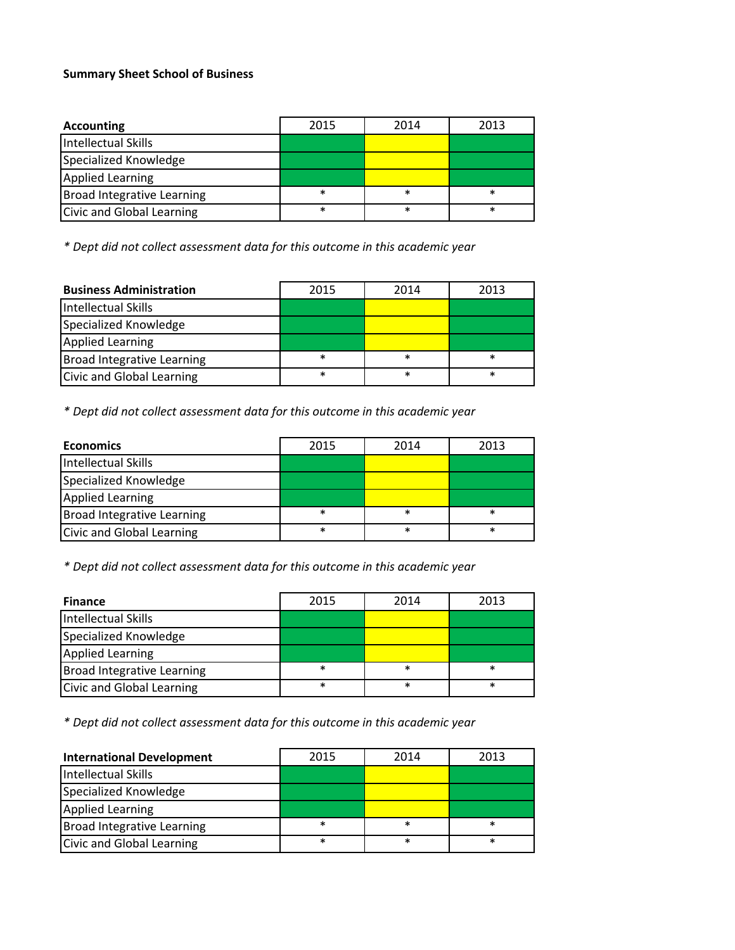## **Summary Sheet School of Business**

| <b>Accounting</b>                 | 2015   | 2014   | 2013   |
|-----------------------------------|--------|--------|--------|
| <b>Intellectual Skills</b>        |        |        |        |
| Specialized Knowledge             |        |        |        |
| <b>Applied Learning</b>           |        |        |        |
| <b>Broad Integrative Learning</b> | $\ast$ | $\ast$ | $\ast$ |
| Civic and Global Learning         | $\ast$ | $\ast$ | $\ast$ |

*\* Dept did not collect assessment data for this outcome in this academic year*

| <b>Business Administration</b>    | 2015   | 2014   | 2013   |
|-----------------------------------|--------|--------|--------|
| Intellectual Skills               |        |        |        |
| Specialized Knowledge             |        |        |        |
| <b>Applied Learning</b>           |        |        |        |
| <b>Broad Integrative Learning</b> | $\ast$ | $\ast$ | $\ast$ |
| Civic and Global Learning         | $\ast$ | $\ast$ | $\ast$ |

*\* Dept did not collect assessment data for this outcome in this academic year*

| <b>Economics</b>                  | 2015   | 2014   | 2013   |
|-----------------------------------|--------|--------|--------|
| <b>Intellectual Skills</b>        |        |        |        |
| Specialized Knowledge             |        |        |        |
| <b>Applied Learning</b>           |        |        |        |
| <b>Broad Integrative Learning</b> | $\ast$ | $\ast$ | $\ast$ |
| Civic and Global Learning         | $\ast$ | $\ast$ | $\ast$ |

*\* Dept did not collect assessment data for this outcome in this academic year*

| <b>Finance</b>                    | 2015   | 2014   | 2013   |
|-----------------------------------|--------|--------|--------|
| Intellectual Skills               |        |        |        |
| Specialized Knowledge             |        |        |        |
| <b>Applied Learning</b>           |        |        |        |
| <b>Broad Integrative Learning</b> | $\ast$ | $\ast$ | $\ast$ |
| Civic and Global Learning         | $\ast$ | $\ast$ | $\ast$ |

*\* Dept did not collect assessment data for this outcome in this academic year*

| <b>International Development</b>  | 2015   | 2014   | 2013   |
|-----------------------------------|--------|--------|--------|
| Intellectual Skills               |        |        |        |
| Specialized Knowledge             |        |        |        |
| <b>Applied Learning</b>           |        |        |        |
| <b>Broad Integrative Learning</b> | $\ast$ | $\ast$ | ∗      |
| Civic and Global Learning         | $\ast$ | $\ast$ | $\ast$ |